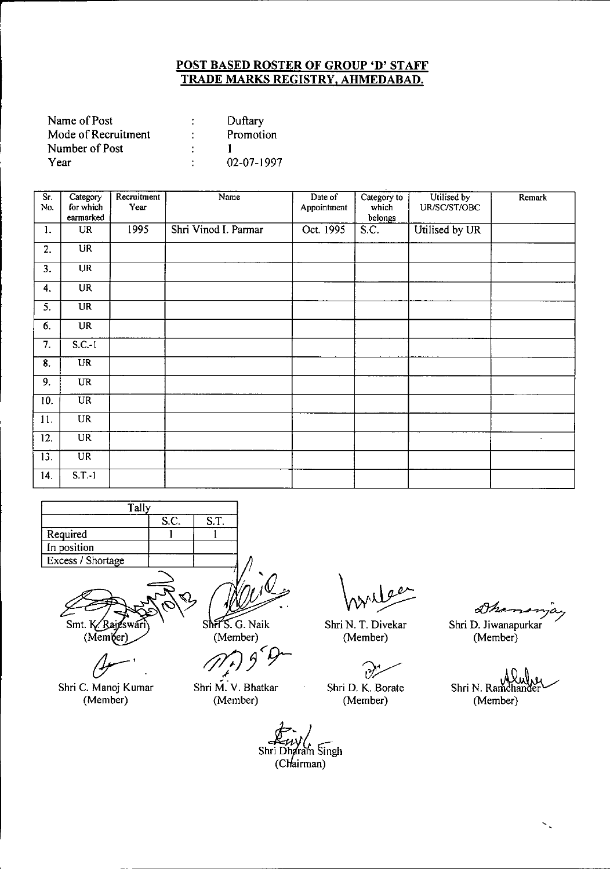| Name of Post        | Duftary    |
|---------------------|------------|
| Mode of Recruitment | Promotion  |
| Number of Post      |            |
| Year                | 02-07-1997 |

| Sr.<br>No. | Category<br>for which<br>earmarked | Recruitment<br>Year | Name                 | Date of<br>Appointment | Category to<br>which<br>belongs | Utilised by<br>UR/SC/ST/OBC | Remark |
|------------|------------------------------------|---------------------|----------------------|------------------------|---------------------------------|-----------------------------|--------|
| 1.         | <b>UR</b>                          | 1995                | Shri Vinod I. Parmar | Oct. 1995              | S.C.                            | Utilised by UR              |        |
| 2.         | U <sub>R</sub>                     |                     |                      |                        |                                 |                             |        |
| 3.         | <b>UR</b>                          |                     |                      |                        |                                 |                             |        |
| 4.         | <b>UR</b>                          |                     |                      |                        |                                 |                             |        |
| 5.         | <b>UR</b>                          |                     |                      |                        |                                 |                             |        |
| 6.         | <b>UR</b>                          |                     |                      |                        |                                 |                             |        |
| 7.         | $S.C.-1$                           |                     |                      |                        |                                 |                             |        |
| 8.         | <b>UR</b>                          |                     |                      |                        |                                 |                             |        |
| 9.         | $\ensuremath{\mathsf{UR}}\xspace$  |                     |                      |                        |                                 |                             |        |
| 10.        | $\overline{\text{UR}}$             |                     |                      |                        |                                 |                             |        |
| 11.        | <b>UR</b>                          |                     |                      |                        |                                 |                             |        |
| 12.        | $\overline{\text{UR}}$             |                     |                      |                        |                                 |                             |        |
| 13.        | $\overline{\text{UR}}$             |                     |                      |                        |                                 |                             |        |
| 14.        | $S.T.-1$                           |                     |                      |                        |                                 |                             |        |



Smt.  $K/R$ (Member)

Shri C. Manoj Kumar (Member)

Shiff S. G. Naik (Member)

Shri M. V. Bhatkar (Member)

 $\overrightarrow{f}$ <br>Shri Dharam Singh (Chairman)

Shri N. T. Divekar (Member)

?/

Shri D. K. Boraie (Member)

 $\mathcal{O}h$ e Shri D. Jiwanapurkar (Member)

Shri N. Ramchar (Member)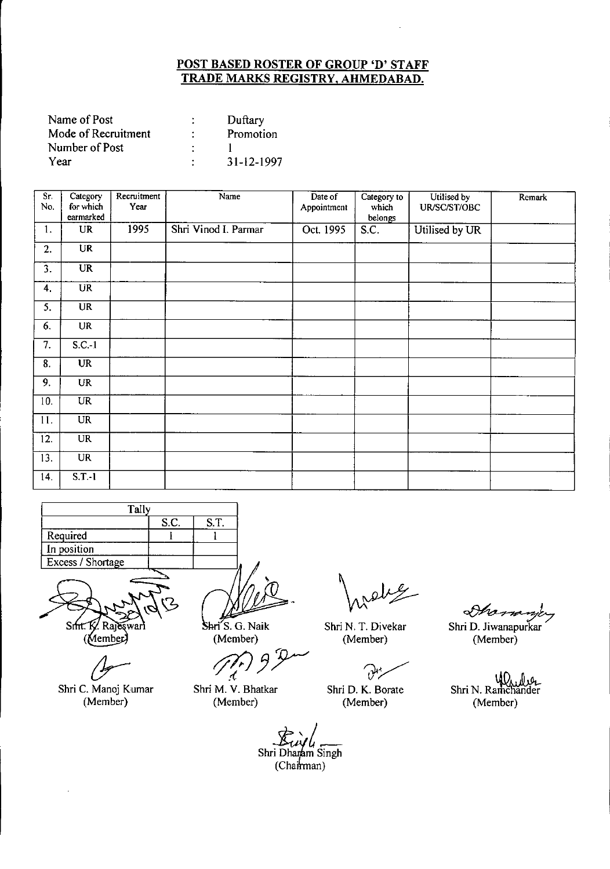| Name of Post        | Duftary    |
|---------------------|------------|
| Mode of Recruitment | Promotion  |
| Number of Post      |            |
| Year                | 31-12-1997 |

| Sr.<br>No.        | Category<br>for which  | Recruitment<br>Year | Name                 | Date of<br>Appointment | Category to<br>which | Utilised by<br>UR/SC/ST/OBC | Remark |
|-------------------|------------------------|---------------------|----------------------|------------------------|----------------------|-----------------------------|--------|
|                   | earmarked              |                     |                      |                        | belongs              |                             |        |
| 1.                | <b>UR</b>              | 1995                | Shri Vinod I. Parmar | Oct. 1995              | S.C.                 | Utilised by UR              |        |
| 2.                | $\overline{\text{UR}}$ |                     |                      |                        |                      |                             |        |
| 3.                | $\overline{\text{UR}}$ |                     |                      |                        |                      |                             |        |
| 4.                | <b>UR</b>              |                     |                      |                        |                      |                             |        |
| 5.                | <b>UR</b>              |                     |                      |                        |                      |                             |        |
| 6.                | <b>UR</b>              |                     |                      |                        |                      |                             |        |
| $\overline{7}$ .  | $S.C.-1$               |                     |                      |                        |                      |                             |        |
| 8.                | $\overline{\text{UR}}$ |                     |                      |                        |                      |                             |        |
| 9.                | <b>UR</b>              |                     |                      |                        |                      |                             |        |
| 10.               | $\overline{UR}$        |                     |                      |                        |                      |                             |        |
| 11.               | UR                     |                     |                      |                        |                      |                             |        |
| 12.               | <b>UR</b>              |                     |                      |                        |                      |                             |        |
| $\overline{13}$ . | $\overline{\text{UR}}$ |                     |                      |                        |                      |                             |        |
| 14.               | $S.T.-1$               |                     |                      |                        |                      |                             |        |

| Tally             |  |  |  |  |  |  |
|-------------------|--|--|--|--|--|--|
| S.T.<br>S.C.      |  |  |  |  |  |  |
| Required          |  |  |  |  |  |  |
| In position       |  |  |  |  |  |  |
| Excess / Shortage |  |  |  |  |  |  |
|                   |  |  |  |  |  |  |

 $S$ mt. K Rajeswari (Member)

Shri C. Manoj Kumar (Member)

Shri<sup>7</sup>S. G. Naik (Member)

*t7{J3Y*

Shri M. V. Bhatkar (Member)

Shri N. T. Divekar (Member)

?/

Shri D. K. Borate (Member)

Shri D. Jiwanapurkar (Member)

يروسور

\_موراكيد /W<br>Shri N. Ramchander (Member)

**Fuyl**<br>
i Dharam Si<br>
(Chairman) Shri Dh *t~* m Singh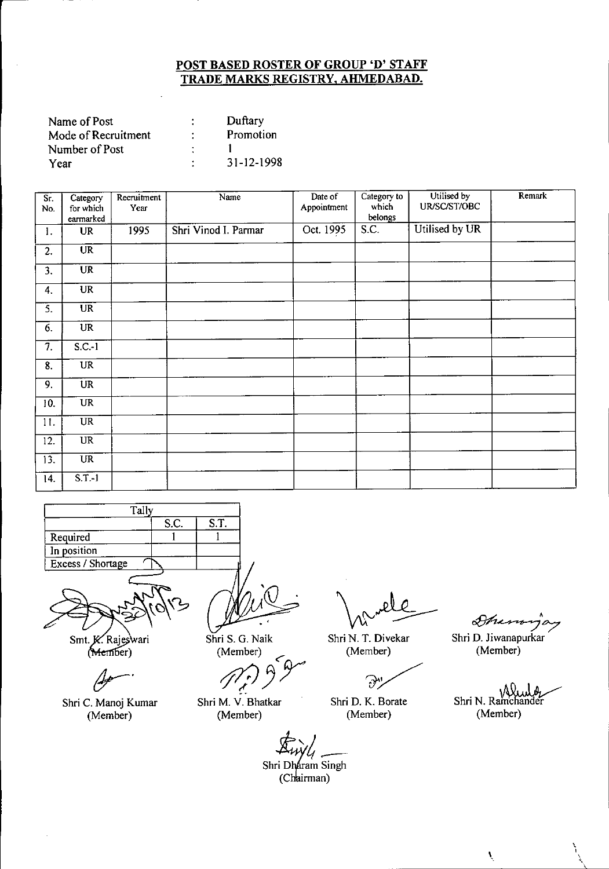| Name of Post        |   | Duftary    |
|---------------------|---|------------|
| Mode of Recruitment |   | Promotion  |
| Number of Post      | ٠ |            |
| Үеаг                |   | 31-12-1998 |

| $\overline{\text{Sr}}$ .<br>No. | Category<br>for which<br>earmarked | Recruitment<br>Year | Name                 | Date of<br>Appointment | Category to<br>which<br>belongs | Utilised by<br>UR/SC/ST/OBC | Remark |
|---------------------------------|------------------------------------|---------------------|----------------------|------------------------|---------------------------------|-----------------------------|--------|
| 1.                              | <b>UR</b>                          | 1995                | Shri Vinod I. Parmar | Oct. 1995              | S.C.                            | Utilised by UR              |        |
| 2.                              | $\overline{\text{UR}}$             |                     |                      |                        |                                 |                             |        |
| 3.                              | <b>UR</b>                          |                     |                      |                        |                                 |                             |        |
| 4.                              | <b>UR</b>                          |                     |                      |                        |                                 |                             |        |
| 3.                              | <b>UR</b>                          |                     |                      |                        |                                 |                             |        |
| 6.                              | $\overline{\text{UR}}$             |                     |                      |                        |                                 |                             |        |
| $\overline{7}$ .                | $S.C.-1$                           |                     |                      |                        |                                 |                             |        |
| $\overline{8}$ .                | $\overline{UR}$                    |                     |                      |                        |                                 |                             |        |
| $\overline{9}$ .                | UR                                 |                     |                      |                        |                                 |                             |        |
| 10.                             | UR                                 |                     |                      |                        |                                 |                             |        |
| 11.                             | $\ensuremath{\mathsf{UR}}\xspace$  |                     |                      |                        |                                 |                             |        |
| 12.                             | $\overline{UR}$                    |                     |                      |                        |                                 |                             |        |
| 13.                             | $\overline{UR}$                    |                     |                      |                        |                                 |                             |        |
| 14.                             | $S.T.-1$                           |                     |                      |                        |                                 |                             |        |



Smt. K. Rajeswari  $(Member)$ 

Shri C. Manoj Kumar (Member)

Shri S. G. Naik (Member)

premoci)<br>*M<sub>i</sub>* 9 9

Shri M. V. Bhatkar (Member)

Shri N. T. Divekar (Member)

F)

Shri D. K. Borate (Member)

 $\mathscr{S}\hspace{-0.4mm}\mathscr{F}\hspace{-0.4mm}\mathscr{F}\hspace{-0.4mm}\mathscr{F}\hspace{-0.4mm}\mathscr{F}\hspace{-0.4mm}\mathscr{F}\hspace{-0.4mm}\mathscr{F}\hspace{-0.4mm}\mathscr{F}\hspace{-0.4mm}\mathscr{F}\hspace{-0.4mm}\mathscr{F}\hspace{-0.4mm}\mathscr{F}\hspace{-0.4mm}\mathscr{F}\hspace{-0.4mm}\mathscr{F}\hspace{-0.4mm}\mathscr{F}\hspace{-0.4mm}\mathscr{F}\hspace{-0.4mm}\mathscr{F}\hspace{-0.4mm}\mathscr{F}\hspace{-0.4$ 

Shri D. Jiwanapurkar (Member)

Shri N. Ramchander (Member)

 $\mathbf{v}$ 

\ , \.

r<br>i Dł<br>(Ch  $\overrightarrow{\mathbf{A}_{ii}\mathbf{y}_{i}}$ Shri Dharam Singh (Chairman)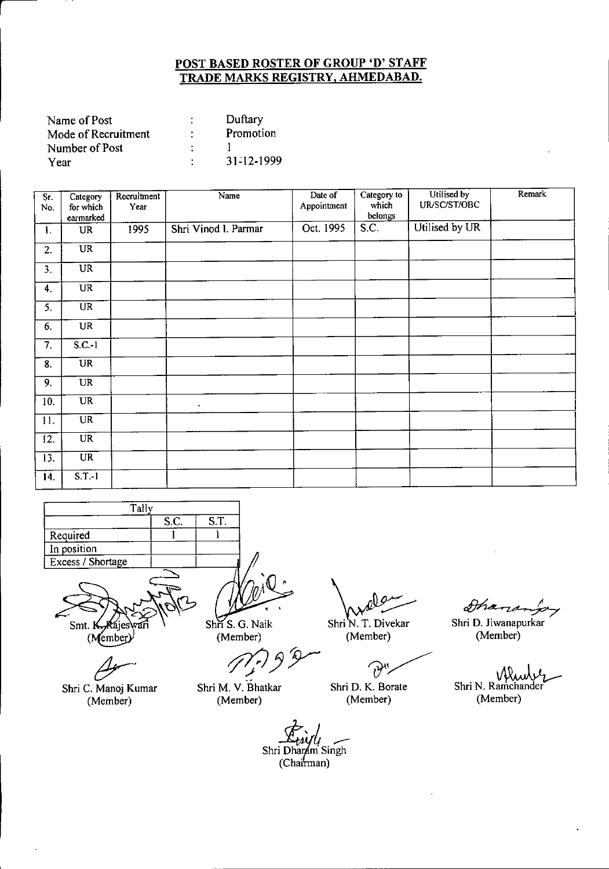| Name of Post        | Duftary    |
|---------------------|------------|
| Mode of Recruitment | Promotion  |
| Number of Post      |            |
| Year                | 31-12-1999 |

| $\overline{\text{Sr.}}$<br>No. | Category<br>for which<br>earmarked | Recruitment<br>Year | Name                 | Date of<br>Appointment | Category to<br>which<br>belongs | Utilised by<br>UR/SC/ST/OBC | Remark |
|--------------------------------|------------------------------------|---------------------|----------------------|------------------------|---------------------------------|-----------------------------|--------|
| 1.                             | UR                                 | 1995                | Shri Vinod I. Parmar | Oct. 1995              | S.C.                            | Utilised by UR              |        |
| 2.                             | UR                                 |                     |                      |                        |                                 |                             |        |
| 3.                             | UR                                 |                     |                      |                        |                                 |                             |        |
| 4.                             | $\overline{\text{UR}}$             |                     |                      |                        |                                 |                             |        |
| 5.                             | <b>UR</b>                          |                     |                      |                        |                                 |                             |        |
| 6.                             | $\ensuremath{\mathsf{UR}}\xspace$  |                     |                      |                        |                                 |                             |        |
| $\overline{7}$ .               | $S.C.-1$                           |                     |                      |                        | à.                              |                             |        |
| $\overline{8}$ .               | <b>UR</b>                          |                     |                      |                        |                                 |                             |        |
| 9.                             | <b>UR</b>                          |                     |                      |                        |                                 |                             |        |
| 10.                            | <b>UR</b>                          |                     | $\blacksquare$       |                        |                                 |                             |        |
| 11.                            | <b>UR</b>                          |                     |                      |                        |                                 |                             |        |
| $\overline{12}$ .              | $\overline{\text{UR}}$             |                     |                      |                        |                                 |                             |        |
| 13.                            | <b>UR</b>                          |                     |                      |                        |                                 |                             |        |
| 14.                            | $S.T.-1$                           |                     |                      |                        |                                 |                             |        |

| Tally             |      |      |
|-------------------|------|------|
|                   | S.C. | S.T. |
| Required          |      |      |
| In position       |      |      |
| Excess / Shortage |      |      |
|                   |      |      |

Smt. k (Member)

Shri C. Manoj Kumar

(Member)

Shri S. G. Naik (Member)

Shri M. V. Bhatkar (Member)

*tft/JJY*

\ rele

Shri N. T. Divekar (Member)

(Member)<br>Shri D. K. Borate

(Member)

st/

Shri D. Jiwanapurkar (Member)

Shri N. Ramchander (Member)

Shri Dharam Singh<br>(Chairman)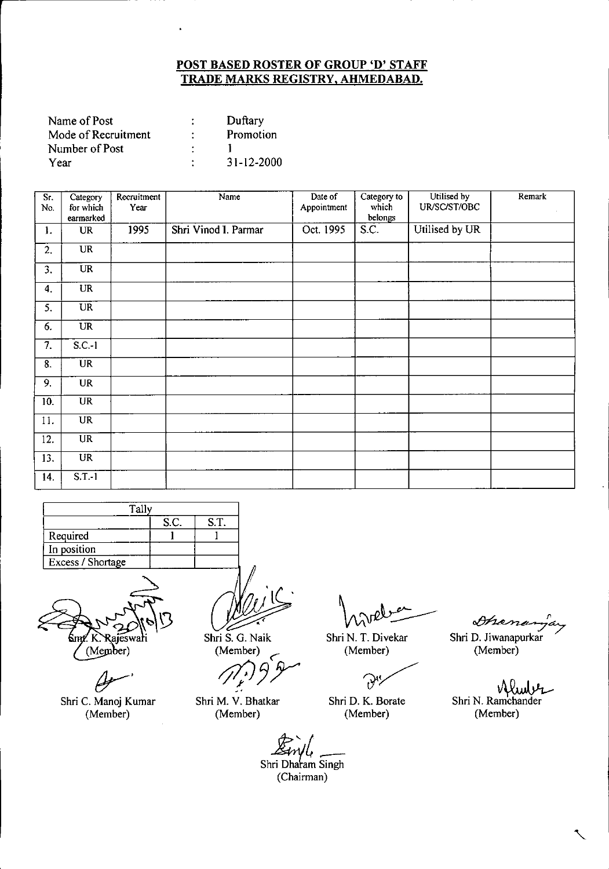| Name of Post        |   | Duftary          |
|---------------------|---|------------------|
| Mode of Recruitment |   | Promotion        |
| Number of Post      |   |                  |
| Year                | ٠ | $31 - 12 - 2000$ |

| Sr.<br>No.        | Category<br>for which | Recruitment<br>Year | Name                 | Date of<br>Appointment | Category to<br>which | Utilised by<br>UR/SC/ST/OBC | Remark |
|-------------------|-----------------------|---------------------|----------------------|------------------------|----------------------|-----------------------------|--------|
|                   | earmarked             |                     |                      |                        | belongs              |                             |        |
| $\mathbf{1}$ .    | <b>UR</b>             | 1995                | Shri Vinod I. Parmar | Oct. 1995              | S.C.                 | Utilised by UR              |        |
| 2.                | <b>UR</b>             |                     |                      |                        |                      |                             |        |
| 3.                | <b>UR</b>             |                     |                      |                        |                      |                             |        |
| 4.                | UR                    |                     |                      |                        |                      |                             |        |
| 5.                | $\overline{UR}$       |                     |                      |                        |                      |                             |        |
| 6.                | <b>UR</b>             |                     |                      |                        |                      |                             |        |
| $\overline{7}$ .  | $S.C.-1$              |                     |                      |                        |                      |                             |        |
| 8.                | <b>UR</b>             |                     |                      |                        |                      |                             |        |
| 9.                | <b>UR</b>             |                     |                      |                        |                      |                             |        |
| $\overline{10}$ . | <b>UR</b>             |                     |                      |                        |                      |                             |        |
| 11.               | $\overline{UR}$       |                     |                      |                        |                      |                             |        |
| 12.               | $\overline{UR}$       |                     |                      |                        |                      |                             |        |
| 13.               | <b>UR</b>             |                     |                      |                        |                      |                             |        |
| 14.               | $S.T.-1$              |                     |                      |                        |                      |                             |        |

| Tally             |  |  |  |  |  |  |
|-------------------|--|--|--|--|--|--|
| S.T.<br>S.C.      |  |  |  |  |  |  |
| Required          |  |  |  |  |  |  |
| In position       |  |  |  |  |  |  |
| Excess / Shortage |  |  |  |  |  |  |
|                   |  |  |  |  |  |  |



Shri C. Manoj Kumar (Member)

Shri S. G. Naik (Member)

Shri M. V. Bhatkar (Member)

Shri N. T. Divekar (Member)

 $\partial$ 

Shri D. K. Borate (Member)

Dhanan

Shri D. Jiwanapurkar (Member)

Shri N. Ramchander (Member)

*~.:JC*r-- Shri Dharam Singh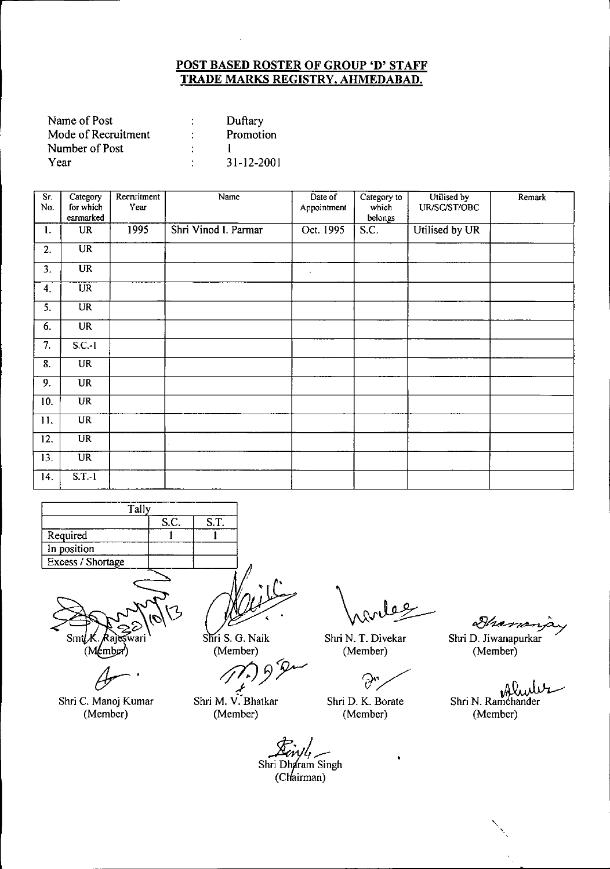| Name of Post        | Duftary    |
|---------------------|------------|
| Mode of Recruitment | Promotion  |
| Number of Post      |            |
| Year                | 31-12-2001 |

| Sr.<br>No.       | Category<br>for which<br>earmarked | Recruitment<br>Year | Name                 | Date of<br>Appointment | Category to<br>which<br>belongs | Utilised by<br>UR/SC/ST/OBC | Remark |
|------------------|------------------------------------|---------------------|----------------------|------------------------|---------------------------------|-----------------------------|--------|
| 1.               | <b>UR</b>                          | 1995                | Shri Vinod I. Parmar | Oct. 1995              | S.C.                            | Utilised by UR              |        |
| 2.               | $\overline{\text{UR}}$             |                     |                      |                        |                                 |                             |        |
| 3.               | <b>UR</b>                          |                     |                      | $\sim$                 |                                 |                             |        |
| 4.               | <b>UR</b>                          |                     |                      |                        |                                 |                             |        |
| 5.               | $\overline{UR}$                    |                     |                      |                        |                                 |                             |        |
| 6.               | <b>UR</b>                          |                     |                      |                        |                                 |                             |        |
| $\overline{7}$ . | $S.C.-1$                           |                     |                      |                        |                                 |                             |        |
| 8.               | <b>UR</b>                          |                     |                      |                        |                                 |                             |        |
| 9.               | <b>UR</b>                          |                     |                      |                        |                                 |                             |        |
| 10.              | <b>UR</b>                          |                     |                      |                        |                                 |                             |        |
| 11.              | <b>UR</b>                          |                     |                      |                        |                                 |                             |        |
| 12.              | <b>UR</b>                          |                     |                      |                        |                                 |                             |        |
| 13.              | $\overline{\text{UR}}$             |                     |                      |                        |                                 |                             |        |
| 14.              | $S.T.-1$                           |                     |                      |                        |                                 |                             |        |

| Tally                    |  |  |  |  |  |  |  |
|--------------------------|--|--|--|--|--|--|--|
| S.C.<br>S.T.             |  |  |  |  |  |  |  |
| Required                 |  |  |  |  |  |  |  |
| In position              |  |  |  |  |  |  |  |
| <b>Excess / Shortage</b> |  |  |  |  |  |  |  |
|                          |  |  |  |  |  |  |  |



*tJr-'*

Shri C. Manoj Kumar (Member)

Shri S. G. Naik

(Member)<br>*<i>/f*<sup>*f*</sup>/*fy .-I*

Shri M. V:Bhatkar (Member)

Shri N. T. Divekar (Member)

 $\Theta$ 

Shri D. K. Borate (Member)

&~~

Shri D. Jiwanapurkar (Member)

Shri N. Ramchander (Member)

'.

 $\frac{\cancel{X}}{\text{tri Dh}}$ Einyle<br>Shri Dharam Singh  $(Chairman)$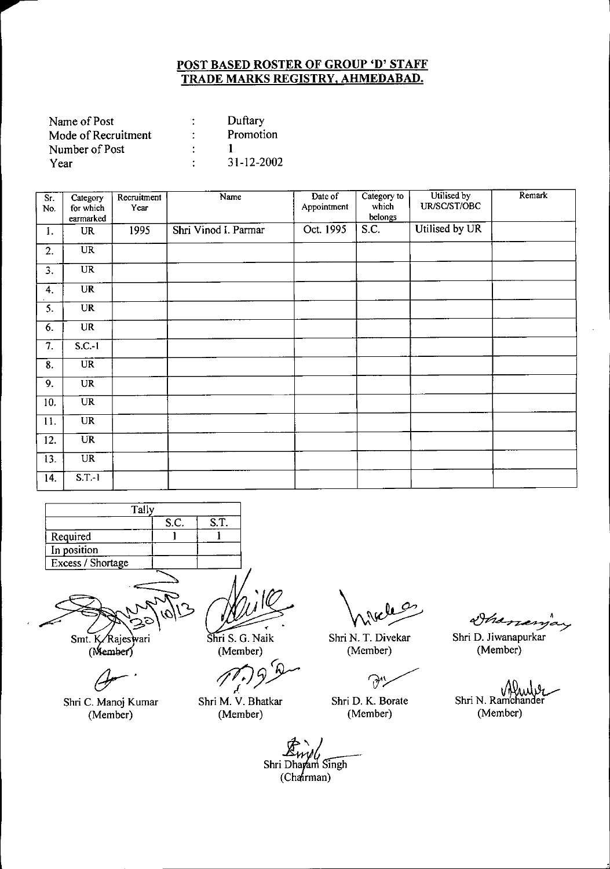| Name of Post        |   | Duftary    |
|---------------------|---|------------|
| Mode of Recruitment |   | Promotion  |
| Number of Post      |   |            |
| Year                | ٠ | 31-12-2002 |

| $\overline{\text{Sr.}}$<br>No. | Category<br>for which<br>earmarked | Recruitment<br>Year | Name                 | Date of<br>Appointment | Category to<br>which<br>belongs | Utilised by<br>UR/SC/ST/OBC | Remark |
|--------------------------------|------------------------------------|---------------------|----------------------|------------------------|---------------------------------|-----------------------------|--------|
| 1.                             | <b>UR</b>                          | 1995                | Shri Vinod I. Parmar | Oct. 1995              | S.C.                            | Utilised by UR              |        |
| 2.                             | $\overline{UR}$                    |                     |                      |                        |                                 |                             |        |
| 3.                             | $\overline{UR}$                    |                     |                      |                        |                                 |                             |        |
| 4.                             | <b>UR</b>                          |                     |                      |                        |                                 |                             |        |
| $\overline{5}$ .               | <b>UR</b>                          |                     |                      |                        |                                 |                             |        |
| 6.                             | <b>UR</b>                          |                     |                      |                        |                                 |                             |        |
| $\overline{7}$ .               | $S.C.-1$                           |                     |                      |                        |                                 |                             |        |
| 8.                             | $\overline{\text{UR}}$             |                     |                      |                        |                                 |                             |        |
| 9.                             | <b>UR</b>                          |                     |                      |                        |                                 |                             |        |
| 10.                            | UR                                 |                     |                      |                        |                                 |                             |        |
| 11.                            | <b>UR</b>                          |                     |                      |                        |                                 |                             |        |
| 12.                            | $\overline{\mathbf{U}}\mathbf{R}$  |                     |                      |                        |                                 |                             |        |
| 13.                            | $\overline{UR}$                    |                     |                      |                        |                                 |                             |        |
| 14.                            | $S.T.-1$                           |                     |                      |                        |                                 |                             |        |

| Tally             |  |  |  |  |  |  |
|-------------------|--|--|--|--|--|--|
| S.T.<br>S.C.      |  |  |  |  |  |  |
| Required          |  |  |  |  |  |  |
| In position       |  |  |  |  |  |  |
| Excess / Shortage |  |  |  |  |  |  |
|                   |  |  |  |  |  |  |

Smt. K/Rajeswari

 $(Member)$ 

*{Jr-'*

Shri C. Manoj Kumar (Member)

Shri S. G. Naik (Member)

 $\epsilon$ *rft/J37*

Shri M. V. Bhatkar (Member)

Shri N. T. Divekar (Member)

 $\partial$ 

Shri D. K. Borate (Member)

~~~

Shri D. Jiwanapurkar (Member)

uWa Shri N. Ramchander (Member)

Shri Dhayam Singh<br>(Chairman)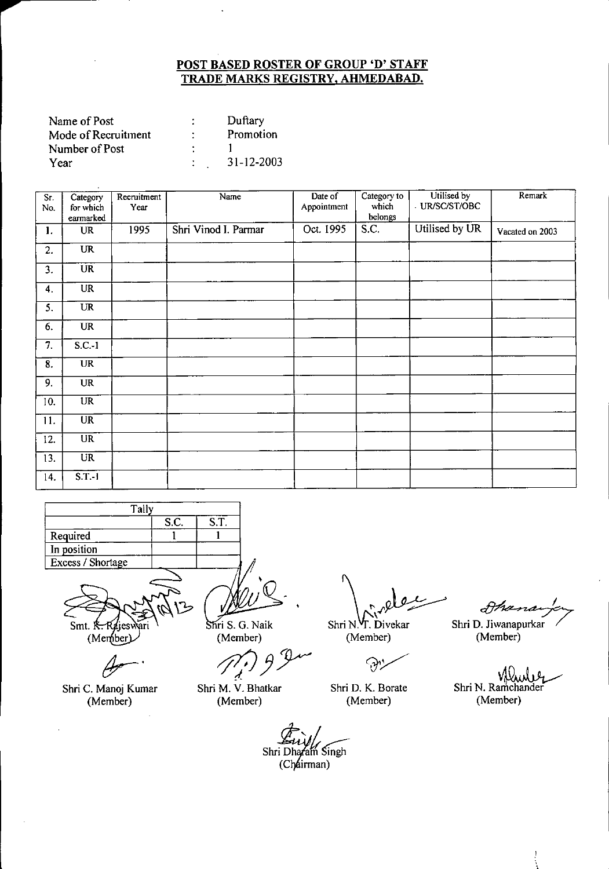| Name of Post        | Duftary    |
|---------------------|------------|
| Mode of Recruitment | Promotion  |
| Number of Post      |            |
| Year                | 31-12-2003 |

| Sr.<br>No.                | Category<br>for which<br>earmarked | Recruitment<br>Year | Name                 | Date of<br>Appointment | Category to<br>which<br>belongs | Utilised by<br>UR/SC/ST/OBC | Remark          |
|---------------------------|------------------------------------|---------------------|----------------------|------------------------|---------------------------------|-----------------------------|-----------------|
| $\mathbf{1}$ .            | <b>UR</b>                          | 1995                | Shri Vinod I. Parmar | Oct. 1995              | S.C.                            | Utilised by UR              | Vacated on 2003 |
| 2.                        | <b>UR</b>                          |                     |                      |                        |                                 |                             |                 |
| 3.                        | <b>UR</b>                          |                     |                      |                        |                                 |                             |                 |
| $\boldsymbol{4}$ .        | <b>UR</b>                          |                     |                      |                        |                                 |                             |                 |
| 5.                        | <b>UR</b>                          |                     |                      |                        |                                 |                             |                 |
| 6.                        | <b>UR</b>                          |                     |                      |                        |                                 |                             |                 |
| $\overline{\tau}$ .       | $S.C.-1$                           |                     |                      |                        |                                 |                             |                 |
| $\overline{\mathbf{8}}$ . | <b>UR</b>                          |                     |                      |                        |                                 |                             |                 |
| 9.                        | <b>UR</b>                          |                     |                      |                        |                                 |                             |                 |
| 10.                       | $\overline{UR}$                    |                     |                      |                        |                                 |                             |                 |
| 11.                       | $\overline{\text{UR}}$             |                     |                      |                        |                                 |                             |                 |
| 12.                       | $\overline{UR}$                    |                     |                      |                        |                                 |                             |                 |
| 13.                       | $\overline{UR}$                    |                     |                      |                        |                                 |                             |                 |
| 14.                       | ST <sub>1</sub>                    |                     |                      |                        |                                 |                             |                 |

| Tally             |  |  |  |  |  |
|-------------------|--|--|--|--|--|
| S.C.<br>S.T.      |  |  |  |  |  |
| Required          |  |  |  |  |  |
| In position       |  |  |  |  |  |
| Excess / Shortage |  |  |  |  |  |
|                   |  |  |  |  |  |

Smt. K  $M$ en

Shri C. Manoj Kumar (Member)

Shri S. G. Naik

(Member)

Shri M. V. Bhatkar (Member)

*qJ}Y*

 $Shri N.$   $T. Divekar$ <br>  $N. Shri D. Jiwekar$ <br>  $M. Aember)$ <br>  $M. Aember$ <br>  $M. Aember$ 

(Member) (Member)

 $\Im$ 

Shr; D. K. Borate (Member)

Shri N. Ramchander (Member)

Shri Dharam Singh (Chairman)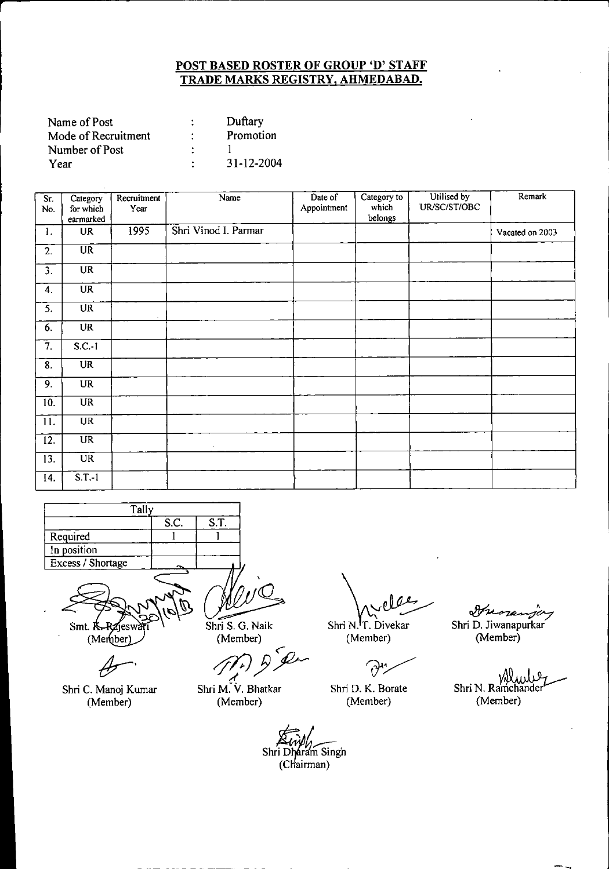| Name of Post        | Duftary    |
|---------------------|------------|
| Mode of Recruitment | Promotion  |
| Number of Post      |            |
| Year                | 31-12-2004 |

| $\overline{\text{Sr.}}$<br>No. | Category<br>for which<br>earmarked | Recruitment<br>Year | Name                 | Date of<br>Appointment | Category to<br>which<br>belongs | Utilised by<br>UR/SC/ST/OBC | Remark          |
|--------------------------------|------------------------------------|---------------------|----------------------|------------------------|---------------------------------|-----------------------------|-----------------|
| 1.                             | <b>UR</b>                          | 1995                | Shri Vinod I. Parmar |                        |                                 |                             | Vacated on 2003 |
| 2.                             | $\overline{\text{UR}}$             |                     |                      |                        |                                 |                             |                 |
| 3.                             | <b>UR</b>                          |                     |                      |                        |                                 |                             |                 |
| 4.                             | UR                                 |                     |                      |                        |                                 |                             |                 |
| 5.                             | <b>UR</b>                          |                     |                      |                        |                                 |                             |                 |
| 6.                             | <b>UR</b>                          |                     |                      |                        |                                 |                             |                 |
| $\overline{7}$ .               | $S.C.-1$                           |                     |                      |                        |                                 |                             |                 |
| 8.                             | <b>UR</b>                          |                     |                      |                        |                                 |                             |                 |
| 9.                             | UR                                 |                     |                      |                        |                                 |                             |                 |
| 10.                            | <b>UR</b>                          |                     |                      |                        |                                 |                             |                 |
| 11.                            | <b>UR</b>                          |                     |                      |                        |                                 |                             |                 |
| 12.                            | $\overline{UR}$                    |                     | $\bullet$            |                        |                                 |                             |                 |
| 13.                            | <b>UR</b>                          |                     |                      |                        |                                 |                             |                 |
| 14.                            | $S.T.-1$                           |                     |                      |                        |                                 |                             |                 |

| Tally             |      |      |
|-------------------|------|------|
|                   | S.C. | S.T. |
| Required          |      |      |
| In position       |      |      |
| Excess / Shortage |      |      |
|                   |      |      |

Smt. K (Member

Shri C. Manoj Kumar (Member)

Shri S. G. Naik (Member)

Shri M. V. Bhatkar (Member)

Shri Dharam Singh (Chairman)

Shri N.<sup>I</sup>T. Divekar (Member)

 $\partial^{\mu}$ 

Shri D. K. Borate (Member)

*~h* Shri D. Jiwanapurkar

(Member)

Shri N. Ramchander (Member)